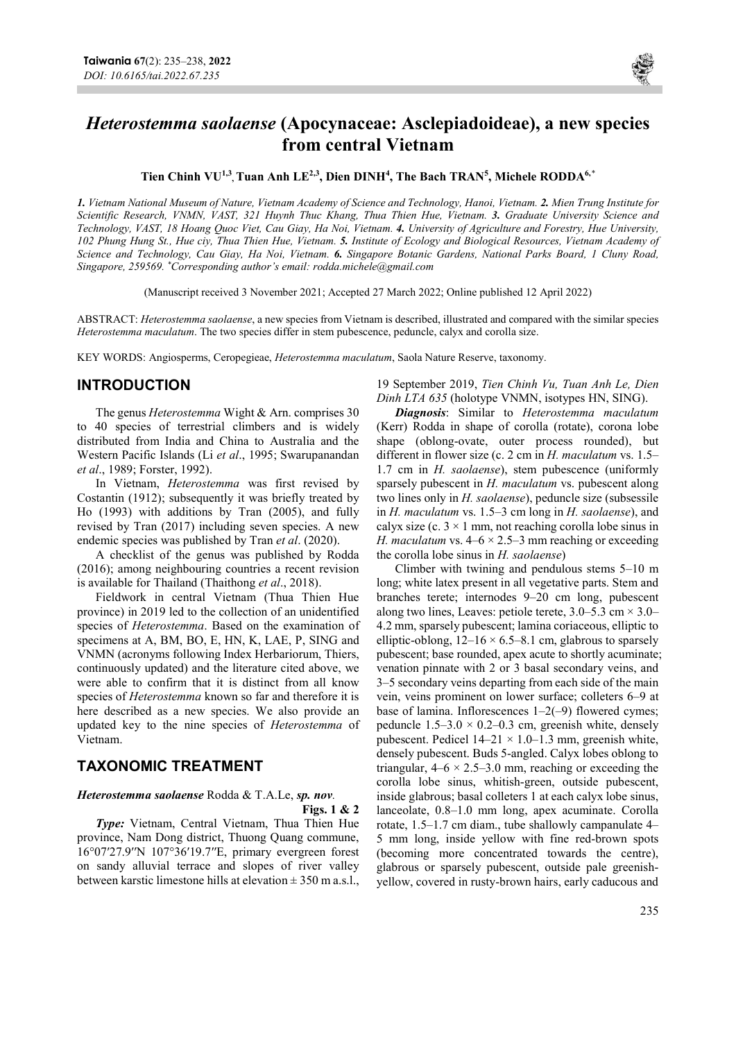

# Heterostemma saolaense (Apocynaceae: Asclepiadoideae), a new species from central Vietnam

Tien Chinh VU<sup>1,3</sup>, Tuan Anh LE<sup>2,3</sup>, Dien DINH<sup>4</sup>, The Bach TRAN<sup>5</sup>, Michele RODDA<sup>6,\*</sup>

1. Vietnam National Museum of Nature, Vietnam Academy of Science and Technology, Hanoi, Vietnam. 2. Mien Trung Institute for Scientific Research, VNMN, VAST, 321 Huynh Thuc Khang, Thua Thien Hue, Vietnam. 3. Graduate University Science and Technology, VAST, 18 Hoang Quoc Viet, Cau Giay, Ha Noi, Vietnam. 4. University of Agriculture and Forestry, Hue University, 102 Phung Hung St., Hue ciy, Thua Thien Hue, Vietnam. 5. Institute of Ecology and Biological Resources, Vietnam Academy of Science and Technology, Cau Giay, Ha Noi, Vietnam. 6. Singapore Botanic Gardens, National Parks Board, 1 Cluny Road, Singapore, 259569. \*Corresponding author's email: rodda.michele@gmail.com

(Manuscript received 3 November 2021; Accepted 27 March 2022; Online published 12 April 2022)

ABSTRACT: Heterostemma saolaense, a new species from Vietnam is described, illustrated and compared with the similar species Heterostemma maculatum. The two species differ in stem pubescence, peduncle, calyx and corolla size.

KEY WORDS: Angiosperms, Ceropegieae, Heterostemma maculatum, Saola Nature Reserve, taxonomy.

### INTRODUCTION

The genus *Heterostemma* Wight & Arn. comprises 30 to 40 species of terrestrial climbers and is widely distributed from India and China to Australia and the Western Pacific Islands (Li et al., 1995; Swarupanandan et al., 1989; Forster, 1992).

In Vietnam, Heterostemma was first revised by Costantin (1912); subsequently it was briefly treated by Ho (1993) with additions by Tran (2005), and fully revised by Tran (2017) including seven species. A new endemic species was published by Tran et al. (2020).

A checklist of the genus was published by Rodda (2016); among neighbouring countries a recent revision is available for Thailand (Thaithong et al., 2018).

Fieldwork in central Vietnam (Thua Thien Hue province) in 2019 led to the collection of an unidentified species of Heterostemma. Based on the examination of specimens at A, BM, BO, E, HN, K, LAE, P, SING and VNMN (acronyms following Index Herbariorum, Thiers, continuously updated) and the literature cited above, we were able to confirm that it is distinct from all know species of Heterostemma known so far and therefore it is here described as a new species. We also provide an updated key to the nine species of Heterostemma of Vietnam.

## TAXONOMIC TREATMENT

### Heterostemma saolaense Rodda & T.A.Le, sp. nov.

#### Figs. 1 & 2

Type: Vietnam, Central Vietnam, Thua Thien Hue province, Nam Dong district, Thuong Quang commune, 16°07′27.9′′N 107°36′19.7′′E, primary evergreen forest on sandy alluvial terrace and slopes of river valley between karstic limestone hills at elevation  $\pm$  350 m a.s.l.,

19 September 2019, Tien Chinh Vu, Tuan Anh Le, Dien Dinh LTA 635 (holotype VNMN, isotypes HN, SING).

Diagnosis: Similar to Heterostemma maculatum (Kerr) Rodda in shape of corolla (rotate), corona lobe shape (oblong-ovate, outer process rounded), but different in flower size (c. 2 cm in H. maculatum vs. 1.5– 1.7 cm in *H. saolaense*), stem pubescence (uniformly sparsely pubescent in H. maculatum vs. pubescent along two lines only in H. saolaense), peduncle size (subsessile in  $H$ . maculatum vs. 1.5–3 cm long in  $H$ . saolaense), and calyx size (c.  $3 \times 1$  mm, not reaching corolla lobe sinus in H. maculatum vs.  $4-6 \times 2.5-3$  mm reaching or exceeding the corolla lobe sinus in  $H$ . saolaense)

Climber with twining and pendulous stems 5–10 m long; white latex present in all vegetative parts. Stem and branches terete; internodes 9–20 cm long, pubescent along two lines, Leaves: petiole terete,  $3.0-5.3$  cm  $\times$   $3.0-$ 4.2 mm, sparsely pubescent; lamina coriaceous, elliptic to elliptic-oblong,  $12-16 \times 6.5-8.1$  cm, glabrous to sparsely pubescent; base rounded, apex acute to shortly acuminate; venation pinnate with 2 or 3 basal secondary veins, and 3–5 secondary veins departing from each side of the main vein, veins prominent on lower surface; colleters 6–9 at base of lamina. Inflorescences  $1-2(-9)$  flowered cymes; peduncle  $1.5-3.0 \times 0.2-0.3$  cm, greenish white, densely pubescent. Pedicel  $14-21 \times 1.0-1.3$  mm, greenish white, densely pubescent. Buds 5-angled. Calyx lobes oblong to triangular,  $4-6 \times 2.5-3.0$  mm, reaching or exceeding the corolla lobe sinus, whitish-green, outside pubescent, inside glabrous; basal colleters 1 at each calyx lobe sinus, lanceolate, 0.8–1.0 mm long, apex acuminate. Corolla rotate, 1.5–1.7 cm diam., tube shallowly campanulate 4– 5 mm long, inside yellow with fine red-brown spots (becoming more concentrated towards the centre), glabrous or sparsely pubescent, outside pale greenishyellow, covered in rusty-brown hairs, early caducous and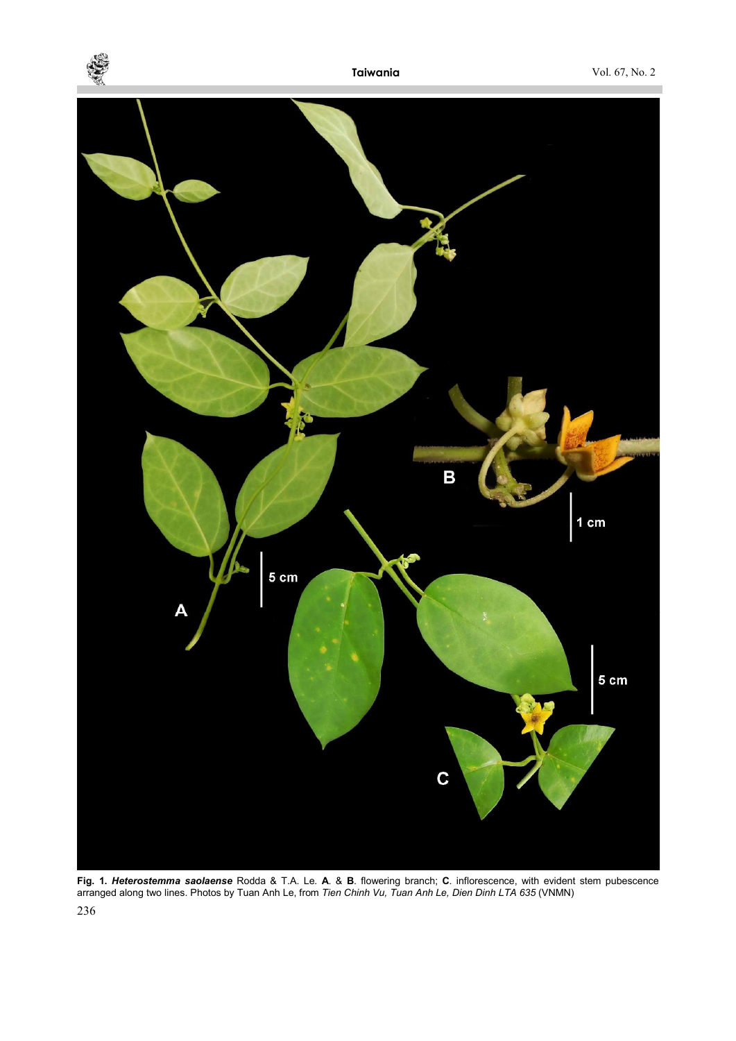



Fig. 1. Heterostemma saolaense Rodda & T.A. Le. A. & B. flowering branch; C. inflorescence, with evident stem pubescence arranged along two lines. Photos by Tuan Anh Le, from Tien Chinh Vu, Tuan Anh Le, Dien Dinh LTA 635 (VNMN)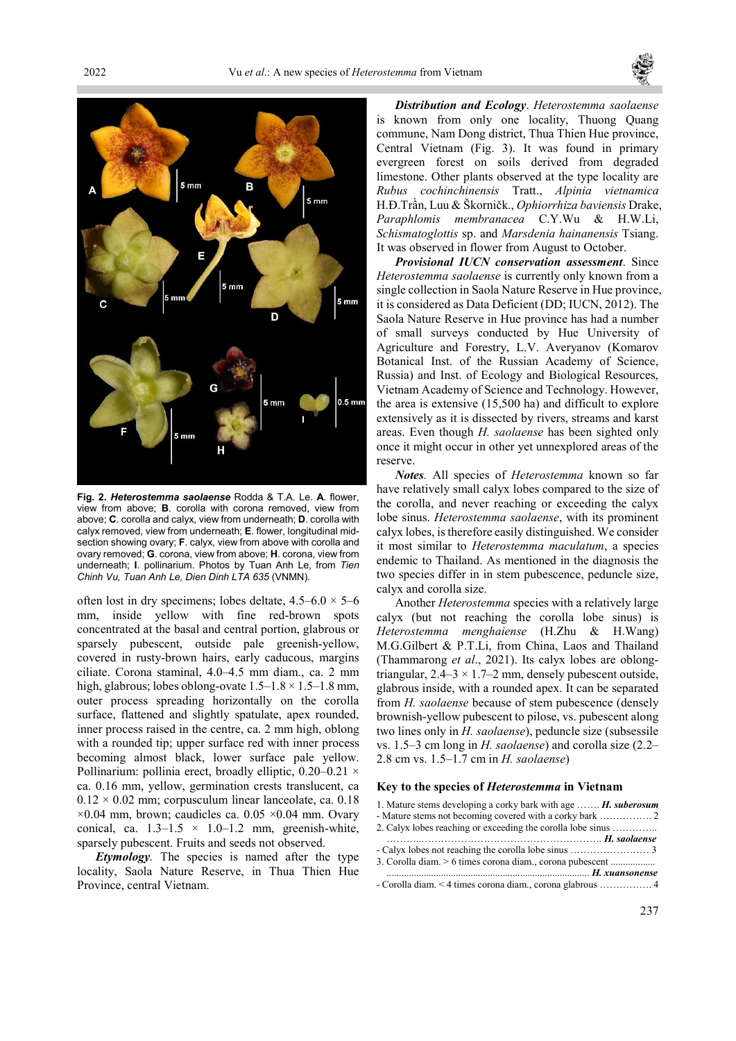



Fig. 2. Heterostemma saolaense Rodda & T.A. Le. A. flower. view from above; B. corolla with corona removed, view from above; C. corolla and calyx, view from underneath; D. corolla with calyx removed, view from underneath; E. flower, longitudinal midsection showing ovary; F. calyx, view from above with corolla and ovary removed; G. corona, view from above; H. corona, view from underneath; I. pollinarium. Photos by Tuan Anh Le, from Tien Chinh Vu, Tuan Anh Le, Dien Dinh LTA 635 (VNMN).

often lost in dry specimens; lobes deltate,  $4.5-6.0 \times 5-6$ mm, inside yellow with fine red-brown spots concentrated at the basal and central portion, glabrous or sparsely pubescent, outside pale greenish-yellow, covered in rusty-brown hairs, early caducous, margins ciliate. Corona staminal, 4.0–4.5 mm diam., ca. 2 mm high, glabrous; lobes oblong-ovate  $1.5-1.8 \times 1.5-1.8$  mm, outer process spreading horizontally on the corolla surface, flattened and slightly spatulate, apex rounded, inner process raised in the centre, ca. 2 mm high, oblong with a rounded tip; upper surface red with inner process becoming almost black, lower surface pale yellow. Pollinarium: pollinia erect, broadly elliptic, 0.20–0.21 × ca. 0.16 mm, yellow, germination crests translucent, ca  $0.12 \times 0.02$  mm; corpusculum linear lanceolate, ca. 0.18  $\times 0.04$  mm, brown; caudicles ca. 0.05  $\times 0.04$  mm. Ovary conical, ca.  $1.3-1.5 \times 1.0-1.2$  mm, greenish-white, sparsely pubescent. Fruits and seeds not observed.

Etymology. The species is named after the type locality, Saola Nature Reserve, in Thua Thien Hue Province, central Vietnam.

Distribution and Ecology. Heterostemma saolaense is known from only one locality, Thuong Quang commune, Nam Dong district, Thua Thien Hue province, Central Vietnam (Fig. 3). It was found in primary evergreen forest on soils derived from degraded limestone. Other plants observed at the type locality are Rubus cochinchinensis Tratt., Alpinia vietnamica H.Đ.Trần, Luu & Škorničk., Ophiorrhiza baviensis Drake, Paraphlomis membranacea C.Y.Wu & H.W.Li, Schismatoglottis sp. and Marsdenia hainanensis Tsiang. It was observed in flower from August to October.

Provisional IUCN conservation assessment. Since Heterostemma saolaense is currently only known from a single collection in Saola Nature Reserve in Hue province, it is considered as Data Deficient (DD; IUCN, 2012). The Saola Nature Reserve in Hue province has had a number of small surveys conducted by Hue University of Agriculture and Forestry, L.V. Averyanov (Komarov Botanical Inst. of the Russian Academy of Science, Russia) and Inst. of Ecology and Biological Resources, Vietnam Academy of Science and Technology. However, the area is extensive (15,500 ha) and difficult to explore extensively as it is dissected by rivers, streams and karst areas. Even though *H. saolaense* has been sighted only once it might occur in other yet unnexplored areas of the reserve.

Notes. All species of Heterostemma known so far have relatively small calyx lobes compared to the size of the corolla, and never reaching or exceeding the calyx lobe sinus. Heterostemma saolaense, with its prominent calyx lobes, is therefore easily distinguished. We consider it most similar to Heterostemma maculatum, a species endemic to Thailand. As mentioned in the diagnosis the two species differ in in stem pubescence, peduncle size, calyx and corolla size.

Another Heterostemma species with a relatively large calyx (but not reaching the corolla lobe sinus) is Heterostemma menghaiense (H.Zhu & H.Wang) M.G.Gilbert & P.T.Li, from China, Laos and Thailand (Thammarong et al., 2021). Its calyx lobes are oblongtriangular,  $2.4-3 \times 1.7-2$  mm, densely pubescent outside, glabrous inside, with a rounded apex. It can be separated from *H. saolaense* because of stem pubescence (densely brownish-yellow pubescent to pilose, vs. pubescent along two lines only in *H. saolaense*), peduncle size (subsessile vs.  $1.5-3$  cm long in H. saolaense) and corolla size  $(2.2-$ 2.8 cm vs. 1.5–1.7 cm in H. saolaense)

#### Key to the species of Heterostemma in Vietnam

1. Mature stems developing a corky bark with age ....... H. suberosum - Mature stems not becoming covered with a corky bark ……………. 2 2. Calyx lobes reaching or exceeding the corolla lobe sinus ………….. ………..………………………………………………. H. saolaense - Calyx lobes not reaching the corolla lobe sinus …………………… 3 3. Corolla diam. > 6 times corona diam., corona pubescent .................. .................................................................................. H. xuansonense

<sup>-</sup> Corolla diam. < 4 times corona diam., corona glabrous ……………. 4